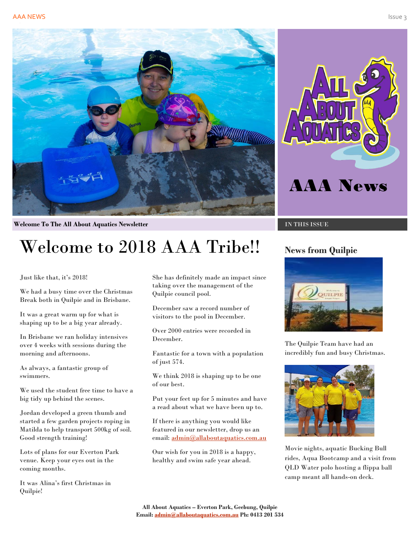

**Welcome To The All About Aquatics Newsletter Intervalse of the IN THIS ISSUE** 

# Welcome to 2018 AAA Tribe!!

Just like that, it's 2018!

We had a busy time over the Christmas Break both in Quilpie and in Brisbane.

It was a great warm up for what is shaping up to be a big year already.

In Brisbane we ran holiday intensives over 4 weeks with sessions during the morning and afternoons.

As always, a fantastic group of swimmers.

We used the student free time to have a big tidy up behind the scenes.

Jordan developed a green thumb and started a few garden projects roping in Matilda to help transport 500kg of soil. Good strength training!

Lots of plans for our Everton Park venue. Keep your eyes out in the coming months.

It was Alina's first Christmas in Quilpie!

She has definitely made an impact since taking over the management of the Quilpie council pool.

December saw a record number of visitors to the pool in December.

Over 2000 entries were recorded in December.

Fantastic for a town with a population of just 574.

We think 2018 is shaping up to be one of our best.

Put your feet up for 5 minutes and have a read about what we have been up to.

If there is anything you would like featured in our newsletter, drop us an email: [admin@allaboutaquatics.com.au](mailto:admin@allaboutaquatics.com.au)

Our wish for you in 2018 is a happy, healthy and swim safe year ahead.



#### **News from Quilpie**



The Quilpie Team have had an incredibly fun and busy Christmas.



Movie nights, aquatic Bucking Bull rides, Aqua Bootcamp and a visit from QLD Water polo hosting a flippa ball camp meant all hands-on deck.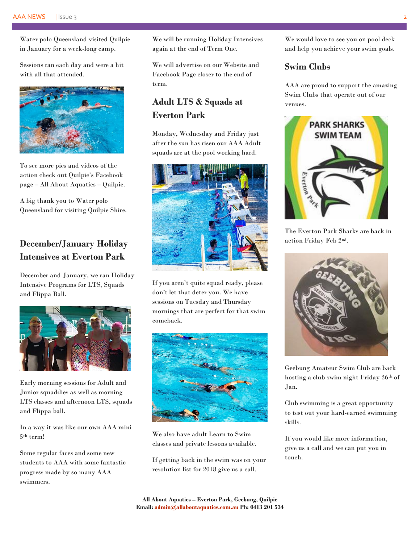Water polo Queensland visited Quilpie in January for a week-long camp.

Sessions ran each day and were a hit with all that attended.



To see more pics and videos of the action check out Quilpie's Facebook page – All About Aquatics – Quilpie.

A big thank you to Water polo Queensland for visiting Quilpie Shire.

# **December/January Holiday Intensives at Everton Park**

December and January, we ran Holiday Intensive Programs for LTS, Squads and Flippa Ball.



Early morning sessions for Adult and Junior squaddies as well as morning LTS classes and afternoon LTS, squads and Flippa ball.

In a way it was like our own AAA mini  $5<sup>th</sup>$  term!

Some regular faces and some new students to AAA with some fantastic progress made by so many AAA swimmers.

We will be running Holiday Intensives again at the end of Term One.

We will advertise on our Website and Facebook Page closer to the end of term.

# **Adult LTS & Squads at Everton Park**

Monday, Wednesday and Friday just after the sun has risen our AAA Adult squads are at the pool working hard.



If you aren't quite squad ready, please don't let that deter you. We have sessions on Tuesday and Thursday mornings that are perfect for that swim comeback.



We also have adult Learn to Swim classes and private lessons available.

If getting back in the swim was on your resolution list for 2018 give us a call.

We would love to see you on pool deck and help you achieve your swim goals.

#### **Swim Clubs**

AAA are proud to support the amazing Swim Clubs that operate out of our venues.



The Everton Park Sharks are back in action Friday Feb 2nd.



Geebung Amateur Swim Club are back hosting a club swim night Friday 26th of Jan.

Club swimming is a great opportunity to test out your hard-earned swimming skills.

If you would like more information, give us a call and we can put you in touch.